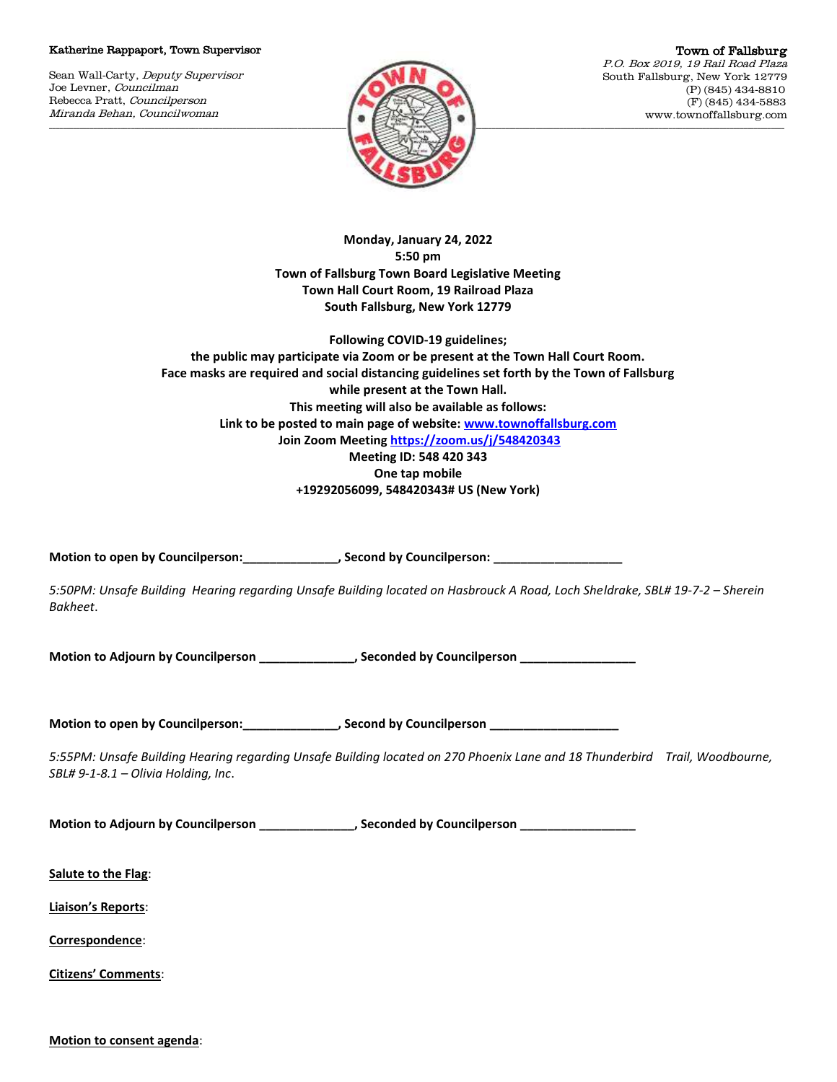## Katherine Rappaport, Town Supervisor

Sean Wall-Carty, Deputy Supervisor Joe Levner, Councilman Rebecca Pratt, Councilperson Miranda Behan, Councilwoman



Town of Fallsburg P.O. Box 2019, 19 Rail Road Plaza South Fallsburg, New York 12779 (P) (845) 434-8810 (F) (845) 434-5883 www.townoffallsburg.com

**Monday, January 24, 2022 5:50 pm Town of Fallsburg Town Board Legislative Meeting Town Hall Court Room, 19 Railroad Plaza South Fallsburg, New York 12779**

**Following COVID-19 guidelines; the public may participate via Zoom or be present at the Town Hall Court Room. Face masks are required and social distancing guidelines set forth by the Town of Fallsburg while present at the Town Hall. This meeting will also be available as follows: Link to be posted to main page of website[: www.townoffallsburg.com](http://www.townoffallsburg.com/) Join Zoom Meetin[g https://zoom.us/j/548420343](https://zoom.us/j/548420343) Meeting ID: 548 420 343 One tap mobile +19292056099, 548420343# US (New York)**

Motion to open by Councilperson: \_\_\_\_\_\_\_\_\_\_\_\_\_\_\_, Second by Councilperson: \_\_\_\_\_\_

*5:50PM: Unsafe Building Hearing regarding Unsafe Building located on Hasbrouck A Road, Loch Sheldrake, SBL# 19-7-2 – Sherein Bakheet*.

**Motion to Adjourn by Councilperson \_\_\_\_\_\_\_\_\_\_\_\_\_\_, Seconded by Councilperson \_\_\_\_\_\_\_\_\_\_\_\_\_\_\_\_\_**

**Motion to open by Councilperson:\_\_\_\_\_\_\_\_\_\_\_\_\_\_, Second by Councilperson \_\_\_\_\_\_\_\_\_\_\_\_\_\_\_\_\_\_\_**

*5:55PM: Unsafe Building Hearing regarding Unsafe Building located on 270 Phoenix Lane and 18 Thunderbird Trail, Woodbourne, SBL# 9-1-8.1 – Olivia Holding, Inc*.

Motion to Adjourn by Councilperson **with the example of the Seconded by Councilperson** 

**Salute to the Flag**:

**Liaison's Reports**:

**Correspondence**:

**Citizens' Comments**:

**Motion to consent agenda**: